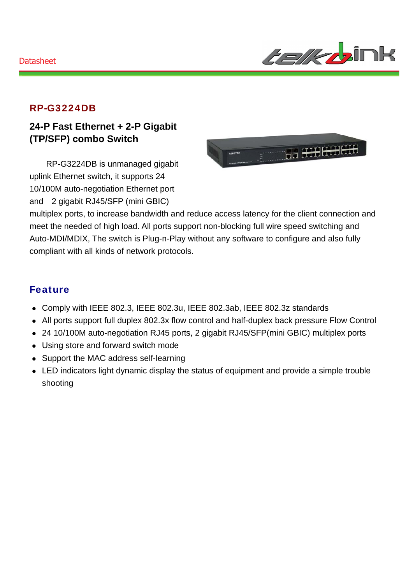

#### RP-G3224DB

### **24-P Fast Ethernet + 2-P Gigabit (TP/SFP) combo Switch**

RP-G3224DB is unmanaged gigabit uplink Ethernet switch, it supports 24 10/100M auto-negotiation Ethernet port and 2 gigabit RJ45/SFP (mini GBIC)



multiplex ports, to increase bandwidth and reduce access latency for the client connection and meet the needed of high load. All ports support non-blocking full wire speed switching and Auto-MDI/MDIX, The switch is Plug-n-Play without any software to configure and also fully compliant with all kinds of network protocols.

#### Feature

- Comply with IEEE 802.3, IEEE 802.3u, IEEE 802.3ab, IEEE 802.3z standards
- All ports support full duplex 802.3x flow control and half-duplex back pressure Flow Control
- 24 10/100M auto-negotiation RJ45 ports, 2 gigabit RJ45/SFP(mini GBIC) multiplex ports
- Using store and forward switch mode
- Support the MAC address self-learning
- LED indicators light dynamic display the status of equipment and provide a simple trouble shooting